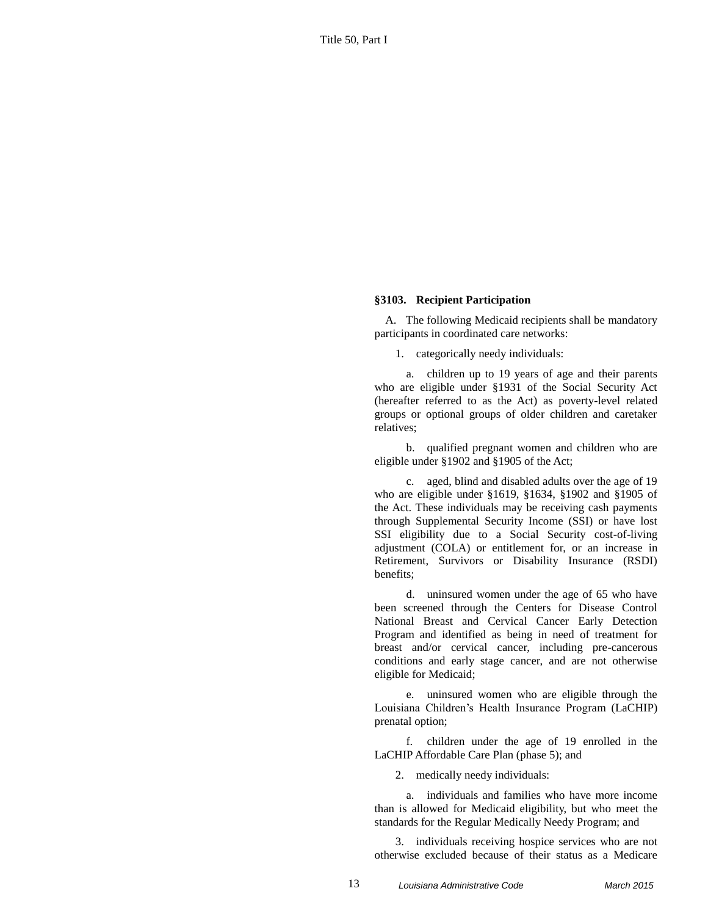## **§3103. Recipient Participation**

A. The following Medicaid recipients shall be mandatory participants in coordinated care networks:

1. categorically needy individuals:

a. children up to 19 years of age and their parents who are eligible under §1931 of the Social Security Act (hereafter referred to as the Act) as poverty-level related groups or optional groups of older children and caretaker relatives;

b. qualified pregnant women and children who are eligible under §1902 and §1905 of the Act;

c. aged, blind and disabled adults over the age of 19 who are eligible under §1619, §1634, §1902 and §1905 of the Act. These individuals may be receiving cash payments through Supplemental Security Income (SSI) or have lost SSI eligibility due to a Social Security cost-of-living adjustment (COLA) or entitlement for, or an increase in Retirement, Survivors or Disability Insurance (RSDI) benefits;

d. uninsured women under the age of 65 who have been screened through the Centers for Disease Control National Breast and Cervical Cancer Early Detection Program and identified as being in need of treatment for breast and/or cervical cancer, including pre-cancerous conditions and early stage cancer, and are not otherwise eligible for Medicaid;

e. uninsured women who are eligible through the Louisiana Children's Health Insurance Program (LaCHIP) prenatal option;

f. children under the age of 19 enrolled in the LaCHIP Affordable Care Plan (phase 5); and

2. medically needy individuals:

a. individuals and families who have more income than is allowed for Medicaid eligibility, but who meet the standards for the Regular Medically Needy Program; and

3. individuals receiving hospice services who are not otherwise excluded because of their status as a Medicare